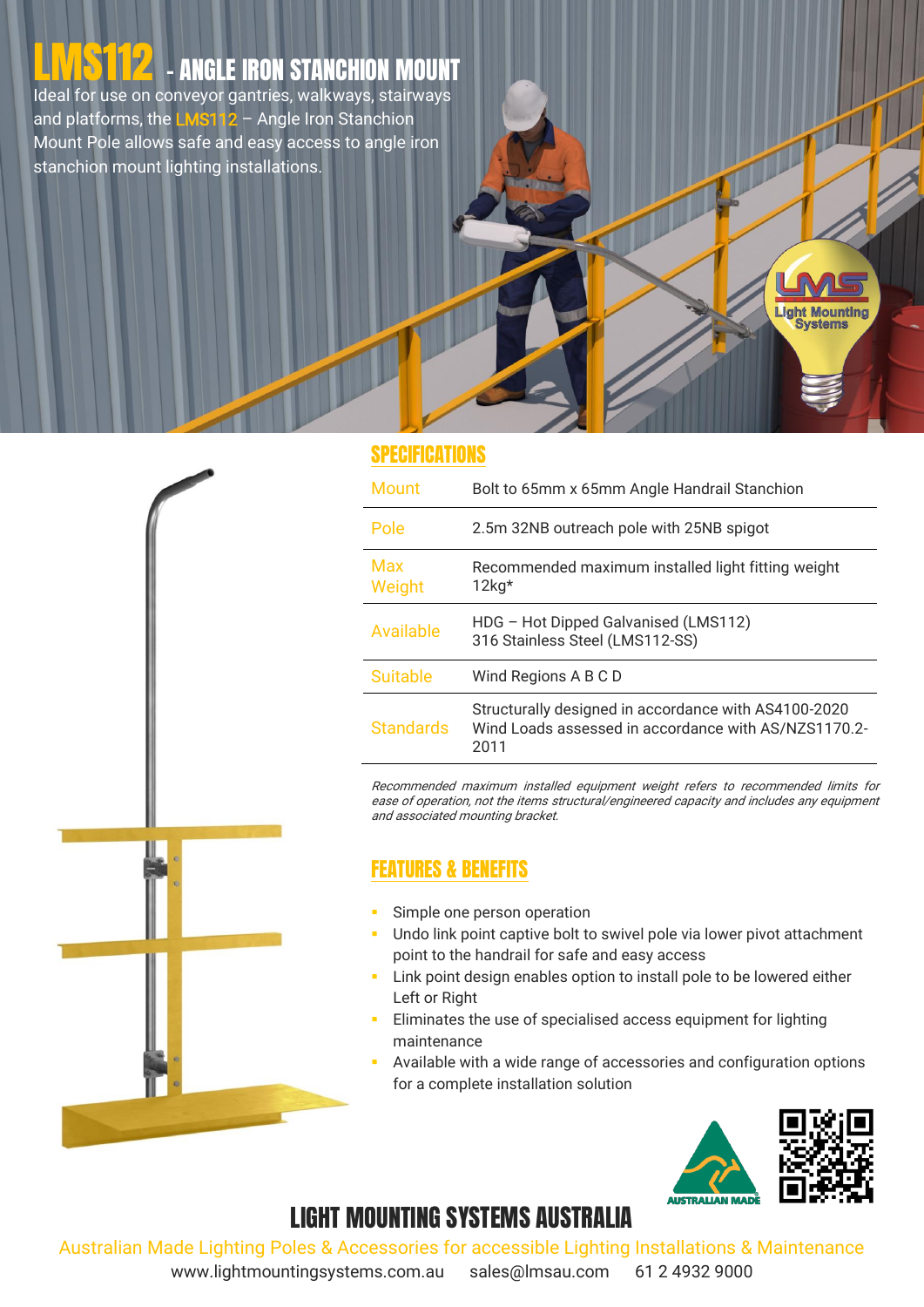# LINAS 112 - ANGLE IRON STANCHION MOUNT

Ideal for use on conveyor gantries, walkways, stairways and platforms, the **LMS112** – Angle Iron Stanchion Mount Pole allows safe and easy access to angle iron stanchion mount lighting installations.



#### SPECIFICATIONS

| <b>Mount</b>     | Bolt to 65mm x 65mm Angle Handrail Stanchion                                                                         |
|------------------|----------------------------------------------------------------------------------------------------------------------|
| Pole             | 2.5m 32NB outreach pole with 25NB spigot                                                                             |
| Max<br>Weight    | Recommended maximum installed light fitting weight<br>$12kg*$                                                        |
| Available        | HDG - Hot Dipped Galvanised (LMS112)<br>316 Stainless Steel (LMS112-SS)                                              |
| <b>Suitable</b>  | Wind Regions A B C D                                                                                                 |
| <b>Standards</b> | Structurally designed in accordance with AS4100-2020<br>Wind Loads assessed in accordance with AS/NZS1170.2-<br>2011 |

Recommended maximum installed equipment weight refers to recommended limits for ease of operation, not the items structural/engineered capacity and includes any equipment and associated mounting bracket.

#### FEATURES & BENEFITS

- Simple one person operation
- **Undo link point captive bolt to swivel pole via lower pivot attachment** point to the handrail for safe and easy access
- **Link point design enables option to install pole to be lowered either** Left or Right
- Eliminates the use of specialised access equipment for lighting maintenance
- Available with a wide range of accessories and configuration options for a complete installation solution



**ight Mounting Systems** 

### LIGHT MOUNTING SYSTEMS AUSTRALIA

Australian Made Lighting Poles & Accessories for accessible Lighting Installations & Maintenance

www.lightmountingsystems.com.au sales@lmsau.com 61 2 4932 9000